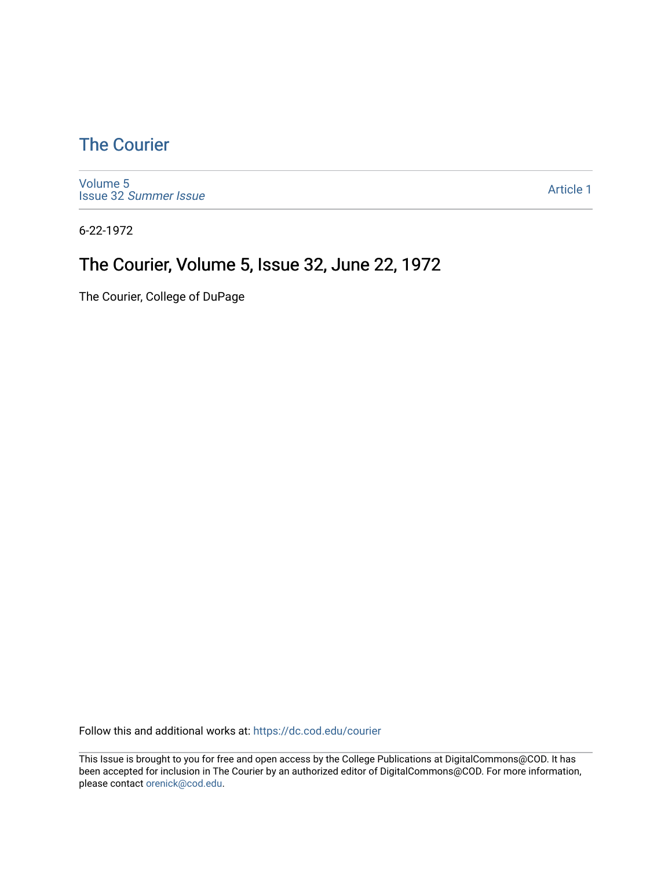### [The Courier](https://dc.cod.edu/courier)

[Volume 5](https://dc.cod.edu/courier/vol5) Issue 32 [Summer Issue](https://dc.cod.edu/courier/vol5/iss32)

[Article 1](https://dc.cod.edu/courier/vol5/iss32/1) 

6-22-1972

### The Courier, Volume 5, Issue 32, June 22, 1972

The Courier, College of DuPage

Follow this and additional works at: [https://dc.cod.edu/courier](https://dc.cod.edu/courier?utm_source=dc.cod.edu%2Fcourier%2Fvol5%2Fiss32%2F1&utm_medium=PDF&utm_campaign=PDFCoverPages)

This Issue is brought to you for free and open access by the College Publications at DigitalCommons@COD. It has been accepted for inclusion in The Courier by an authorized editor of DigitalCommons@COD. For more information, please contact [orenick@cod.edu.](mailto:orenick@cod.edu)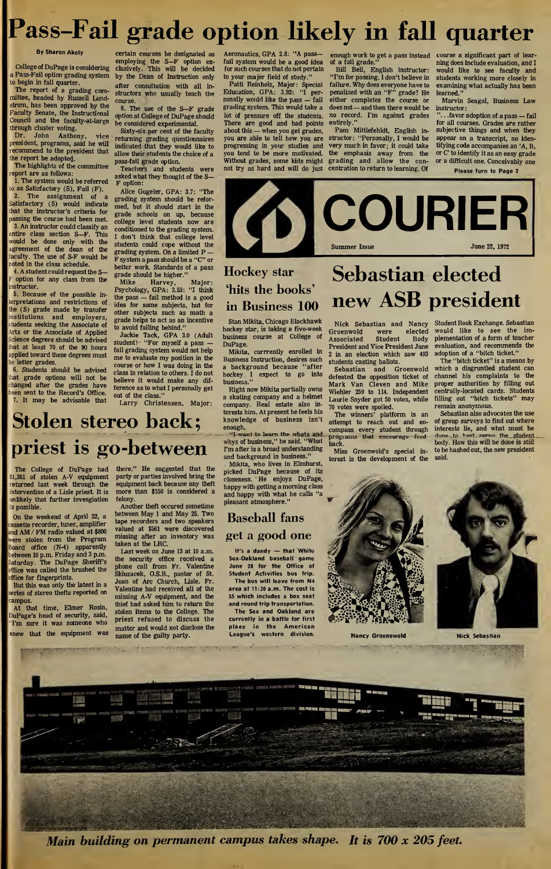# Pass-Fail grade option likely in fall quarter

a Pass-Fail option grading system by the Dean of Instruction only to begin in fall quarter.

The report of a grading committee, headed by Russell Lundstrom, has been approved by the Faculty Senate, the Instructional Council and the faculty-at-large through cluster voting.

Dr. John Anthony, vice president, programs, said he will recommend to the president that the report be adopted

The highlights of the committee eport are as follows: 1. The system would be referred

 $\alpha$  as Satisfactory (S), Fail (F). 2. The assignment of a Satisfactory (S) would indicate that the instructor's criteria for

passing the course had been met. 3. An instructor could classify an entire class section S—F. This would be done only with the agreement of the dean of the faculty. The use of S-F would be noted in the class schedule.

4. A student could request the S option for any class from the instructor.

5. Because of the possible interpretations and restrictions of the (S) grade made by transfer nstitutions and employers, tudents seeking the Associate of Arts or the Associate of Applied Science degrees should be advised at at least 70, of the 90 hours applied toward these degrees must letter grades.

6. Students should be advised at grade options will not be changed after the grades have been sent to the Record's Office. It may be advisable that

The College of DuPage had \$1,361 of stolen A-V equipment returned last week through the intervention of a Lisle priest. It is unlikely that further invesgiation

On the weekend of April 22, a cassette recorder, tuner, amplifier and AM / FM radio valued at \$800 ere stolen from the Program Board office (N-4) apparently between 10 p.m. Friday and 3 p.m. Saturday. The DuPage Sheriff's office was called the brushed the

But this was only the latest in a series of stereo thefts reported on

At that time, Elmer Rosin, DuPage's head of security, said, I'm sure it was someone who Knew that the equipment was

a de contrapadad a distanciada e au cha.

ffice for fingerprints.

is possible.

ampus.

Stolen stereo back;

priest is go-between

felony.

taken at the LRC.

By Sharon Akely certain courses be designated as employing the S—F option ex-<br>College of DuPage is considering clusively. This will be decided after consultation with all in structors who usually teach the cours

course.<br>8. The use of the S—F grade<br>option at College of DuPage should be considered experimental.

Sixty-six per cent of the faculty returning grading questionnaires indicated that they would like to allow their students the choice of a pass-fail grade option.

Teachers and students were asked what they thought of the S— F option:

Alice Gugeler, GPA: 3.7: "The grading system should be reformed, but it should start in the grade schools on up, because college level students now are conditioned to the grading system. I don't think that college level students could cope without the grading system. On a limited P — F system a pass should be a "C" or better work. Standards of a pass grade should be higher."

Mike Harvey, Major: Psychology, GPA: 3.53: "I think the pass — fail method is a good idea for some subjects, but for other subjects such as math a grade helps to act as an incentive to avoid falling behind."

Jackie Tack, GPA 3.0 (Adult student) "For myself a pass  $$ fail grading system would not help me to evaluate my position in the course or how I was doing in the class in relation to others. I do not believe it would make any difference as to what I personally get out of the class." Larry Christensen, Major:

there." He suggested that the party or parties involved bring the equipment back because any theft more than \$150 is considered a

Another theft occured sometime between May <sup>1</sup> and May 25. Two tape recorders and two speakers valued at \$561 were discovered missing after an inventory was

Last week on June <sup>13</sup> at <sup>10</sup> a.m. the security office received a phone call from Fr. Valentine Skluzacek, O.S.B., pastor of St. Joan of Arc Church, Lisle. Fr. Valentine had received all of the missing A-V equipment, and the thief had asked him to return the stolen items to the College. The priest refused to discuss the matter and would not disclose the name of the guilty party.

Aeronautics, GPA 2.8: "A passfail system would be a good idea for such courses that do not pertain to your major field of study."

Patti Reinholz, Major: Special Education, GPA: 3.92: "I personally would like the pass - fail grading system. This would take a lot of pressure off the students. There are good and bad points about this — when you get grades, you are able to tell how you are progressing in your studies and you tend to be more motivated. Without grades, some kids might not try as hard and will do just

enough work to get a pass instead of a fail grade."

Bill Bell, English instructor: "I'm for passing. I don't believe in failure. Why does everyone have to penalized with an "F" grade? He either completes the course or does not — and then there would be no record. I'm against grades entirely."

Pam Mittlefehldt, English in structor: "Personally, I would be very much in favor; it could take the emphasis away from the grading and allow the concentration to return to learning. Of course a significant part of le ning does include evaluation, and I would like to see faculty and students working more closely in examining what actually has been learned."

Marvin Seagal, Business Law instructor:

. .favor adoption of a pass - fail for all courses. Grades are rather subjective things and when they appear on a transcript, no identifying code accompanies an 'A, B, or C' to identify it as an easy grade or a difficult one. Conceivably one Please turn to Page 2





### Hockey star Sebastian elected 'hits the books'  $\overline{AB}$ in Business 100 new ASB president

Stan Mikita, Chicago Blackhawk hockey star, is taking a five-week business course at College of DuPage.

Mikita, currrently enrolled in Business Instruction, desires such a background because "after hockey I expect to go into business."

Right now Mikita partially owns a skating company and a helmet company. Real estate also interests him. At present he feels his knowledge of business isn't enough.

"I want to learn the whats and whys of business," he said. "What I'm after is a broad understanding and background in business."

Mikita, who lives in Elmhurst, picked DuPage because of its closeness. He enjoys DuPage, happy with getting a morning class and happy with what he calls pleasant atmosphere."

### Baseball fans get a good one

It's a dandy — that White Sox-Oakland baseball game June 28 for the Office of Student Activities bus trip. The bus will leave from N4

area at 11:30 a.m. The cost is \$5 which includes a box seat and round trip transportation.

The Sox and Oakland are currently in a battle for first place in the American League's western division. Nancy Groenewold Nick Sebastian

Nick Sebastian and Nancy Groenwold were elected Associated Student Body President and Vice President June 2 in an election which saw 493 students casting ballots.

Sebastian and Groenwold defeated the opposition ticket of Mark Van Cleven and Mike Wiehler 259 to 114. Independent Laurie Snyder got 50 votes, while 70 votes were spoiled.

The winners' platform is an attempt to reach out and en compass every student through<br>programs that encourage feed back.

Miss Groenwold's special in terest is the development of the



Student Book Exchange. Sebastian would like to see the implementation of a form of teacher evaluation, and recommends the adoption of a "bitch ticket."

The "bitch ticket" is a means by which a disgruntled student can channel his complaints to the proper authorities by filling out centrally-located cards. Students filling out "bitch tickets" may remain anonymous.

Sebastian also advocates the use of group surveys to find out where interests lie, and what must be done to hest serve the student body. How this will be done is still to be hashed out, the new president said.



**大学 大学 大学** 

TE ANNES SERVICE AND



Main building on permanent campus takes shape. It is 700 x 205 feet.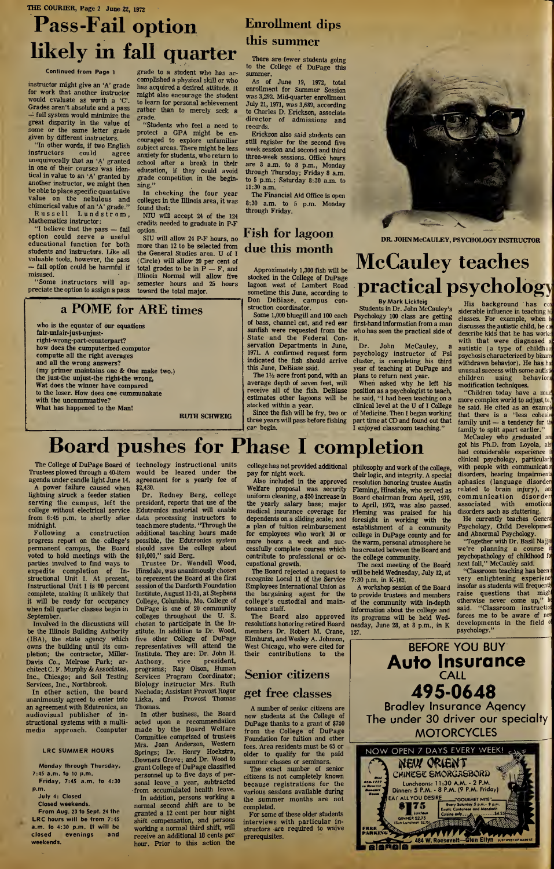### THE COURIER, Page 2 June 22, 1972

## Pass-Fail option likely in fall quarter

#### Continued from Page <sup>1</sup>

instructor might give an 'A' grade for work that another instructor would evaluate as worth a 'C'. Grades aren't absolute and a pass — fail system would minimize the great disparity in the value of some or the same letter grade given by different instructors.

"In other words, if two English<br>instructors could agree instructors could agree unequivocally that an 'A' granted in one of their courses was identical in value to an 'A' granted by another instructor, we might then be able to place specific quantative value on the nebulous and chimerical value of an 'A' grade." Russell Lundstrom,

Mathematics instructor:

"I believe that the pass — fail option could serve a useful educational function for both students and instructors. Like all valuable tools, however, the pass — fail option could be harmful if misused.

"Some instructors will appreciate the option to assign a pass

The College of DuPage Board of Trustees plowed through a 40-item agenda under candle light June 14. A power failure caused when lightning struck a feeder station serving the campus, left the college without electrical service from 6:45 p.m. to shortly after

progress report on the college's permanent campus, the Board voted to hold meetings with the parties involved to find ways to expedite completion of In structional Unit I. At present, Instructional Unit I is 80 percent complete, making it unlikely that it will be ready for occupancy when fall quarter classes begin in

Involved in the discussions will be the Illinois Building Authority (IBA), the state agency which owns the building until its com pletion; the contractor, Miller-Davis Co., Melrose Park; architect C. F. Murphy & Associates, Inc., Chicago; and Soil Testing Services, Inc., Northbrook. In other action, the board unanimously agreed to enter into an agreement with Edutronics, an audiovisual publisher of instructional systems with a multimedia approach. Computer

> LRC SUMMER HOURS Monday through Thursday,

> Friday, 7:45 a.m. to 4:30

From Aug. 23 to Sept. 24 the LRC hours will be from 7:45 a.m. to 4:30 p.m. It will be closed evenings and

7:45 a.m. to <sup>10</sup> p.m.

July 4: Closed Closed weekends.

p.m.

weekends.

midnight.<br>Following

**September** 

grade to a student who has ac complished a physical skill or who has acquired a desired attitude, ft might also encourage the student to learn for personal achievement rather than to merely seek a grade.

"Students who feel a need to protect a GPA might be encouraged to explore unfamiliar subject areas. There might be less anxiety for students, who return to school after a break in their education, if they could avoid grade competition in the beginning."

In checking the four year colleges in the Illinois area, it was found that:

NIU will accept 24 of the 124 credits needed to graduate in P-F option.

SIU will allow 24 P-F hours, no more than 12 to be selected from the General Studies area. U of I (Circle) will allow 20 per cent of total grades to be in P — F, and Illinois Normal will allow five semester hours and 25 hours toward the total major.

### Enrollment dips this summer

There are fewer students going to the College of DuPage this summer.

As of June 19, 1972, total enrollment for Summer Session was 3,292. Mid-quarter enrollment July 21,1971, was 3,689, according to Charles D. Erickson, associate director of admissions and records.

Erickson also said students can still register for the second five week session and second and third three-week sessions. Office hours are 8 a.m. to 8 p.m., Monday through Thursday; Friday 8 a.m. to 5 p.m.; Saturday 8:30 a.m. to 11:30 a.m.

The Financial Aid Office is open 8:30 a.m. to 5 p.m. Monday through Friday.

### Fish for lagoon due this month

Approximately 1,300 fish will be stocked in the College of DuPage lagoon west of Lambert Road sometime this June, according to Don DeBiase, campus con struction coordinator.

Some 1,000 bluegill and 100 each of bass, channel cat, and red ear sunfish were requested from the State and the Federal Conservation Departments in June, 1971. A confirmed request form indicated the fish should arrive this June, DeBiase said.

The  $1\frac{1}{2}$  acre front pond, with an average depth of seven feet, will receive all of the fish. DeBiase estimates other lagoons will be stocked within a year.

Since the fish will be fry, two or three years will pass before fishing



dr. johnMcCauley, psychology instructor

## McCauley teaches practical psychology

By Mark Lickteig Students in Dr. John McCauley's Psychology 100 class are getting first-hand information from a man who has seen the practical side of it.

Dr. John McCauley, a psychology instructor of Psi cluster, is completing his third year of teaching at DuPage and plans to return next year.

When asked why he left his position as a psychologist to teach, he said, "I had been teaching on a clinical level at the U of I College of Medicine. Then I began working part time at CD and found out that I enjoyed classroom teaching."

His background has con siderable influence in teaching hi classes. For example, when discusses the autistic child, he ca describe kids that he has workei with that were diagnosed autistic (a type of childhoo psychosis characterized by bizarr withdrawn behavior). He has ha unusu<mark>al s</mark>ucce<mark>ss with some auti</mark>st<mark>i</mark> children using behaviora modification techniques.

"Children today have a muc more complex world to adjust to, he said. He cited as an exampl that there is a "less cohesiv family unit — a tendency for th family to split apart earlier."

McCauley who graduated an got his Ph.D. from Loyola, als had considerable experience clinical psychology, particularl with people with communication disorders, hearing impairments aphasics (language disorder related to brain injury), an communication disorder<br>associated with emotiona associated with disorders such as stuttering.

He currently teaches Genera Psychology, Child Development and Abnormal Psychology. "Together with Dr. Basil Najja

we're planning a course psychopathology of childhood foi next fall," McCauley said. "Classroom teaching has been

very enlightening experience insofar as students will frequentl) raise questions that migh otherwise never come up," said. "Classroom instruction forces me to be aware of new developments in the field psychology."



technology instructional units would be leased under the

Following a construction additional teaching hours made agreement for a yearly fee of \$2,430. Dr. Rodney Berg, college president, reports that use of the Edutronics material will enable data processing instructors to teachmore students. "Through the possible, the Edutronics system should save the college about \$10,000," said Berg.

Trustee Dr. Wendell Wood, Hinsdale, was unanimously chosen to represent the Board at the first session of the Danforth Foundation Institute, August 11-21, at Stephens College, Columbia, Mo. College of DuPage is one of 20 community colleges throughout the U. S. chosen to participate in the In stitute. In addition to Dr. Wood, five other College of DuPage representatives will attend the Institute. They are: Dr. John H.<br>Anthony, vice president, president, programs; Ray Olson, Human Services Program Coordinator; Biology instructor Mrs. Ruth Nechoda; Assistant Provost Roger Liska, and Provost Thomas Thomas.

In other business, the Board acted upon a recommendation made by the Board Welfare Committee comprised of Mrs. Joan Anderson, Western Springs; Dr. Henry Hoekstra, Downers Grove; and Dr. Wood to grant College of DuPage classified personnel up to five days of personal leave a year, subtracted from accumulated health leave.

In addition, persons working a normal second shift are to be granted a <sup>12</sup> cent per hour night shift compensation, and persons working a normal third shift, will receive an additional 18 cents per hour. Prior to this action the

college has not provided additional

uniform cleaning, a \$50 increase in the yearly salary base; major medical insurance coverage for dependents on a sliding scale; and a plan of tuition reimbursement for employees who work 30 or more hours a week and successfully complete courses which contribute to professional or occupational growth.

The Board rejected a request to recognize Local 11 of the Service Employees International Union as the bargaining agent for the college's custodial and main tenance staff.<br>The Board

also approved resolutions honoring retired Board members Dr. Robert M. Crane, 127. Elmhurst, and Wesley A. Johnson, West Chicago, who were cited for their contributions to the

### Senior citizens get free classes

A number of senior citizens are now students at the College of DuPage thanks to a grant of \$750 from the College of DuPage Foundation for tuition and other | fees. Area residents must be 65 or older to qualify for the paid summer classes or seminars.

The exact number of senior citizens is not completely known because registrations for the various sessions available during the summer months are not completed.

For some of these older students interviews with particular in structors are required to waive prerequisites.

philosophy and work of the college, their logic, and integrity. A special resolution honoring trustee Austin Fleming, Hinsdale, who served as Board chairman from April, 1970, to April, 1972, was also passed. Fleming was praised for his foresight in working with the establishment of a community college in DuPage county and for the warm, personal atmosphere he has created between the Board and the college community.

The next meeting of the Board will be held Wednesday, July 12, at 7:30 p.m. in K-163.

A workshop session of the Board to provide trustees and members of the community with in-depth information about the college and its programs will be held Wednesday, June 28, at <sup>8</sup> p.m., in K



Also included in the approved Welfare proposal was security

car begin. Board pushes for Phase I completion pay for night work.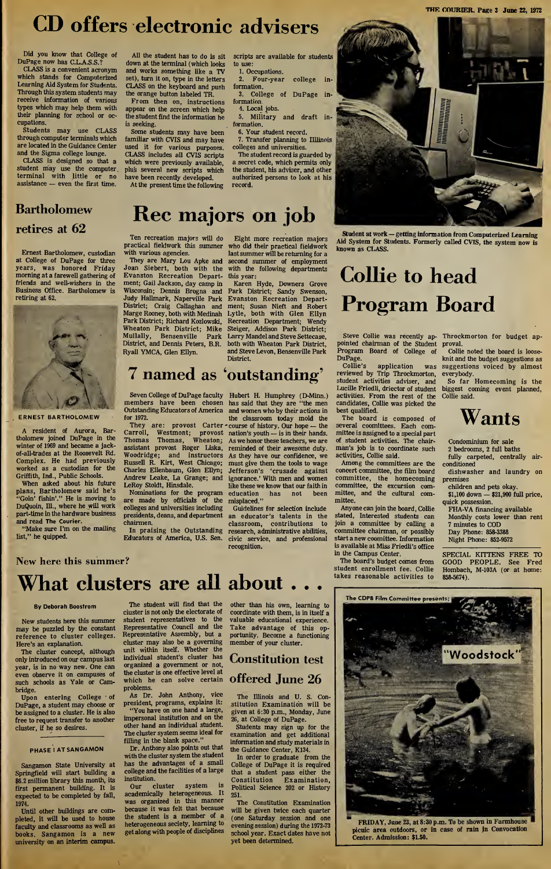## CD offers electronic advisers

Did you know that College of DuPage now has C.L.A.S.S.?

CLASS is a convenient acronym which stands for Computerized Learning Aid System for Students. Through this system students may receive information of various types which may help them with their planning for school or occupations.

Students may use CLASS through computer terminals which are located in the Guidance Center and the Sigma college lounge.

CLASS is designed so that a student may use the computer terminal with little or no assistance — even the first time.

All the student has to do is sit down at the terminal (which looks and works something like a TV set), turn it on, type in the letters CLASS on the keyboard and push the orange button labeled TR.

From then on, instructions appear on the screen which help the student find the information he is seeking.

Some students may have been familiar with CVIS and may have used it for various purposes. CLASS includes all CVIS scripts which were previously available, plus several new scripts which have been recently developed. At the present time the following

scripts are available for students to use:

1. Occupations. Four-year college in-

formation. 3. College of DuPage information.

4. Local jobs. 5. Military and draft in formation.

6. Your student record. . Transfer planning to Illlinois

colleges and universities. The student record is guarded by

a secret code, which permits only the student, his adviser, and other authorized persons to look at his record.

### Bartholomew retires at 62

Ernest Bartholomew, custodian at College of DuPage for three years, was honored Friday morning at a farewell gathering of friends and well-wishers in the Business Office. Bartholomew is retiring at 62.



ERNEST BARTHOLOMEW

A resident of Aurora, Bartholomew joined DuPage in the winter of 1969 and became a jackof-all-trades at the Roosevelt Rd. Complex. He had previously worked as a custodian for the Griffith, Ind., Public Schools.

When asked about his future plans, Bartholomew said he's "Goin' fishin'." He is moving to DuQuoin, Ill., where he will work part-time in the hardware business and read The Courier.

"Make sure I'm on the mailing list," he quipped.

# Rec majors on job

Ten recreation majors will do practical fieldwork this summer with various agencies.

They are Mary Lou Apke and Joan Siebert, both with the Evanston Recreation Department; Gail Jackson, day camp in Wisconsin; Dennis Brogna and Judy Hallmark, Naperville Park District; Craig Callaghan and Marge Rooney, both with Medinah Park District; Richard Kozlowski, Wheaton Park District; Mike Mullally, Bensenville Park Mullally, Bensenville Park<br>District, and Dennis Peters, B.R. Ryall YMCA, Glen Ellyn.

Eight more recreation majors who did their practical fieldwork lastsummer will be returning for a second summer of employment with the following departments this year:

Karen Hyde, Downers Grove Park District; Sandy Swenson, Evanston Recreation Department; Susan Nieft and Robert Lytle, both with Glen Ellyn Recreation Department; Wendy Steiger, Addison Park District; Larry Mandel and Steve Settecase, both with Wheaton Park District, and Steve Levon, Bensenville Park District.

## 7 named as 'outstanding'

Seven College of DuPage faculty members have been chosen Outstanding Educators of America for 1972.

They are: provost Carter Carroll, Westmont; provost Thomas Thomas, Wheaton; assistant provost Roger Liska, Woodridge; and instructors Russell R. Kirt, West Chicago; Charles Ellenbaum, Glen Ellyn; Andrew Leake, La Grange; and LeRoy Stoldt, Hinsdale.

Nominations for the program are made by officials of the colleges and universities including presidents, deans, and department chairmen.

In praising the Outstanding Educators of America, U.S. Sen.

Hubert H. Humphrey (D-Minn.) has said that they are "the men and women who by their actions in the classroom today mold the course of history. Our hope — the nation's youth — is in their hands. As we honor these teachers, we are reminded of their awesome duty. As they have our confidence, we must give them the tools to wage Jefferson's 'crusade against ignorance.' With men and women like these we know that our faith in<br>education has not been education has not been

misplaced." Guidelines for selection include an educator's talents in the classroom, contributions to research, administrative abilities, civic service, and professional recognition.

Collie to head Program Board

Steve Collie was recently appointed chairman of the Student Program Board of College of DuPage.<br>Collie's

known as CLASS.

Collie's application was reviewed by Trip Throckmorton, student activities adviser, and Lucille Friedli, driector of student activities. From the rest of the candidates, Collie was picked the best qualified.

The board is composed of several coomittees. Each committee is assigned to a special part of student activities. The chairman's job is to coordinate such activities, Collie said.

Among the committees are the concert committee, the film board committee, the homecoming committee, the excursion committee, and the cultural committee.

Anyone can join the board, Collie stated, Interested students can join a committee by calling a committee chairman, or possibly start a new coomittee. Information is available at Miss Friedli's office in the Campus Center.

The board's budget comes from student enrollment fee. Collie takes reasonable activities to

The CDPB Film Committee presents:

Throckmorton for budget ap proval.

Collie noted the board is looseknit and the budget suggestions as suggestions voiced by almost everybody.

So far Homecoming is the biggest coming event planned, Collie said.

## Wants

Condominium for sale <sup>2</sup> bedrooms, 2 full baths

fully carpeted, centrally airconditioned

dishwasher and laundry on premises children and pets okay.

\$1,100 down — \$21,900 full price, quick possession.

FHA-VA financing available Monthly costs lower than rent

7 minutes to COD Day Phone: 858-3388

Night Phone: 852-9572

SPECIAL KITTENS FREE TO GOOD PEOPLE. See Fred Hombach, M-103A (or at home: 858-5674).

## New here this summer?

# What clusters are all about . . .

#### By Deborah Boostrom

New students here this summer may be puzzled by the constant reference to cluster colleges. Here's an explanation.

The cluster concept, although only introduced on our campuslast year, is in no way new. One can even observe it on campuses of such schools as Yale or Cambridge.

Upon entering College of DuPage, a student may choose or be assigned to a cluster. He is also free to request transfer to another cluster, if he so desires.

### PHASE <sup>I</sup> AT SANGAMON

Sangamon State University at Springfield will start building a \$6.2 million library this month, its first permanent building. It is expected to be completed by fall, 1974.

Until other buildings are com pleted, it will be used to house faculty and classrooms as well as books. Sangamon is a new university on an interim campus.

The student will find that the cluster is not only the electorate of student representatives to the Representative Council and the Representative Assembly, but a cluster may also be a governing unit within itself. Whether the individual student's cluster has organized a government or not, the cluster is one effective level at which he can solve certain problems.

As Dr. John Anthony, vice president, programs, explains it: "You have on one hand a large, impersonal institution and on the

other hand an individual student. The cluster system seems ideal for filling in the blank space." Dr. Anthony also points out that

with the cluster system the student has the advantages of a small college and the facilities of a large institution. Our cluster system is

academically heterogeneous. It was organized in this manner because it was felt that because the student is a member of a heterogeneous seciety, learning to get along with people of disciplines other than his own, learning to coordinate with them, is in itself a valuable educational experience. Take advantage of this opportunity. Become a functioning member of your cluster.

### Constitution test offered June 26

The Illinois and U. S. Constitution Examination will be given at 6:30 p.m., Monday, June 26, at College of DuPage.

Students may sign up for the examination and get additional information and study materials in the Guidance Center, K134.

In order to graduate from the College of DuPage it is required that a student pass either the Constitution Examination, Political Science 202 or History 251.

The Constitution Examination will be given twice each quarter (one Saturday session and one evening session) during the 1972-73 school year. Exact dates have not yet been determined.

Woodstock

FRIDAY, June 23, at 8:30 p.m. To be shown in Farmhouse picnic area outdoors, or in case of rain jn Convocation Center. Admission: \$1.50.



Student at work — getting information from Computerized Learning Aid System for Students. Formerly called CVIS, the system now is

THE COURIER. Page 3 June 22, 1972